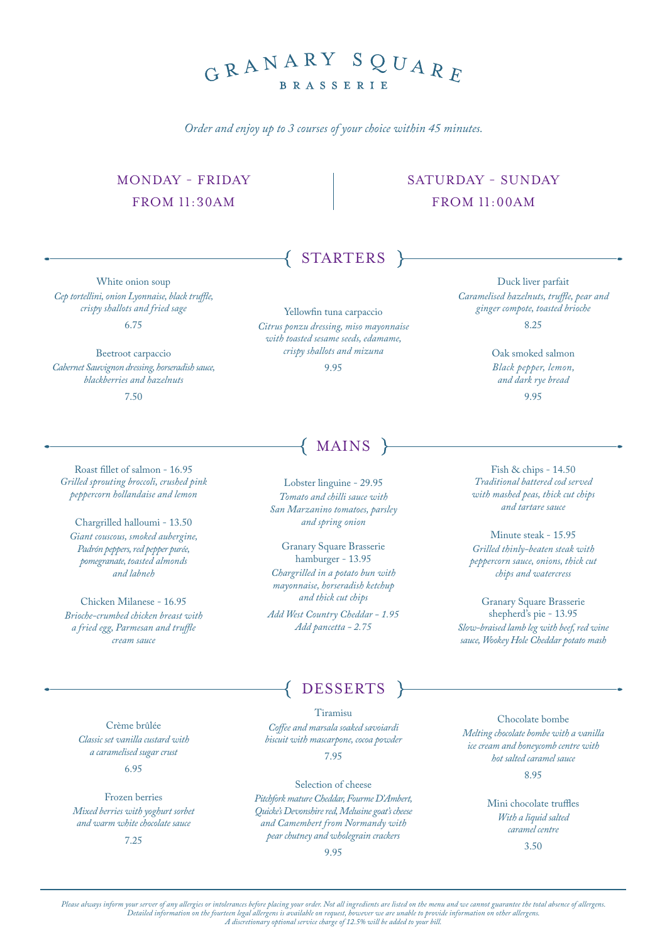## GRANARY SQUARF **BRASSERIE**

*Order and enjoy up to 3 courses of your choice within 45 minutes.*

#### MONDAY - FRIDAY FROM 11:30AM

#### SATURDAY - SUNDAY FROM 11:00AM

White onion soup *Cep tortellini, onion Lyonnaise, black truffle, crispy shallots and fried sage* 6.75

Beetroot carpaccio *Cabernet Sauvignon dressing, horseradish sauce, blackberries and hazelnuts* 7.50

Yellowfin tuna carpaccio *Citrus ponzu dressing, miso mayonnaise with toasted sesame seeds, edamame, crispy shallots and mizuna*

STARTERS

# ${MAINS}$

Lobster linguine - 29.95 *Tomato and chilli sauce with San Marzanino tomatoes, parsley and spring onion*

Granary Square Brasserie hamburger - 13.95 *Chargrilled in a potato bun with mayonnaise, horseradish ketchup and thick cut chips Add West Country Cheddar - 1.95*

*Add pancetta - 2.75*

### DESSERTS

Tiramisu *Coffee and marsala soaked savoiardi biscuit with mascarpone, cocoa powder* 7.95

Selection of cheese *Pitchfork mature Cheddar, Fourme D'Ambert, Quicke's Devonshire red, Melusine goat's cheese and Camembert from Normandy with pear chutney and wholegrain crackers*

9.95

Chocolate bombe *Melting chocolate bombe with a vanilla ice cream and honeycomb centre with hot salted caramel sauce* 8.95

> Mini chocolate truffles *With a liquid salted caramel centre*

3.50

Crème brûlée *Classic set vanilla custard with a caramelised sugar crust*

Frozen berries *Mixed berries with yoghurt sorbet and warm white chocolate sauce*

7.25

6.95

9.95

Oak smoked salmon *Black pepper, lemon, and dark rye bread*

Duck liver parfait *Caramelised hazelnuts, truffle, pear and ginger compote, toasted brioche* 8.25

9.95

Fish & chips - 14.50 *Traditional battered cod served with mashed peas, thick cut chips and tartare sauce*

Minute steak - 15.95 *Grilled thinly-beaten steak with peppercorn sauce, onions, thick cut chips and watercress*

Granary Square Brasserie shepherd's pie - 13.95 *Slow-braised lamb leg with beef, red wine sauce, Wookey Hole Cheddar potato mash*

Roast fillet of salmon - 16.95 *Grilled sprouting broccoli, crushed pink peppercorn hollandaise and lemon* 

Chargrilled halloumi - 13.50 *Giant couscous, smoked aubergine, Padrón peppers, red pepper purée, pomegranate, toasted almonds and labneh*

Chicken Milanese - 16.95 *Brioche-crumbed chicken breast with a fried egg, Parmesan and truffle cream sauce*

*Please always inform your server of any allergies or intolerances before placing your order. Not all ingredients are listed on the menu and we cannot guarantee the total absence of allergens. Detailed information on the fourteen legal allergens is available on request, however we are unable to provide information on other allergens. A discretionary optional service charge of 12.5% will be added to your bill.*